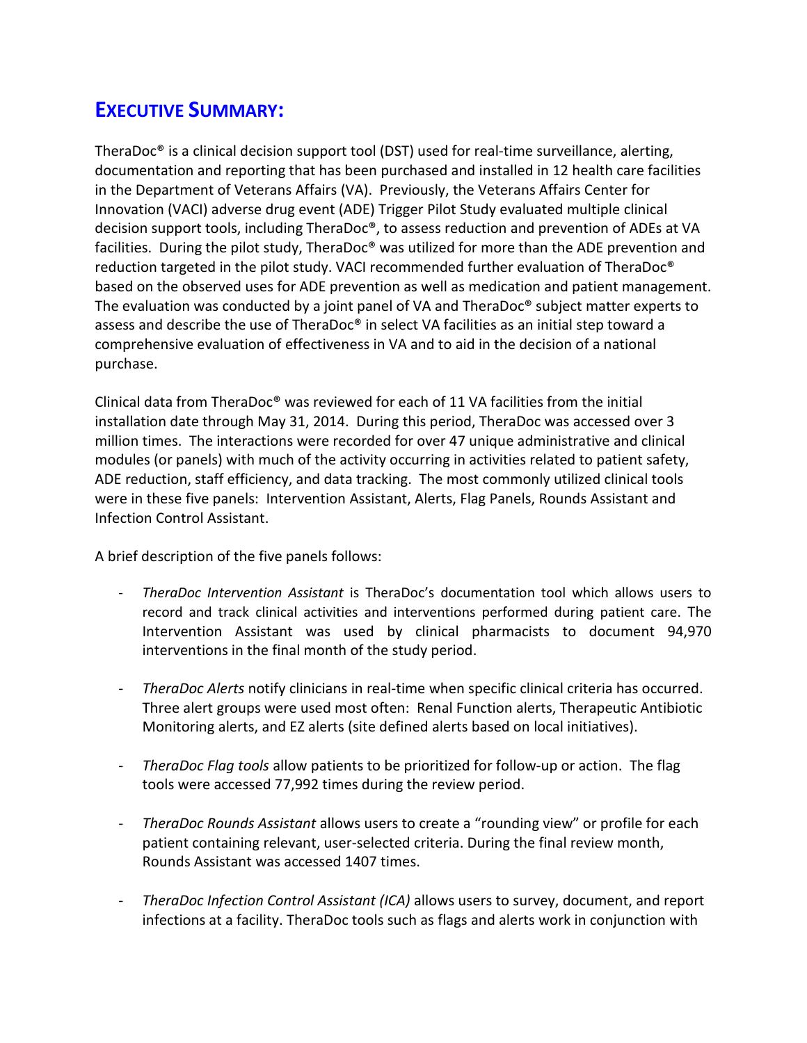## **EXECUTIVE SUMMARY:**

TheraDoc® is a clinical decision support tool (DST) used for real-time surveillance, alerting, documentation and reporting that has been purchased and installed in 12 health care facilities in the Department of Veterans Affairs (VA). Previously, the Veterans Affairs Center for Innovation (VACI) adverse drug event (ADE) Trigger Pilot Study evaluated multiple clinical decision support tools, including TheraDoc®, to assess reduction and prevention of ADEs at VA facilities. During the pilot study, TheraDoc® was utilized for more than the ADE prevention and reduction targeted in the pilot study. VACI recommended further evaluation of TheraDoc® based on the observed uses for ADE prevention as well as medication and patient management. The evaluation was conducted by a joint panel of VA and TheraDoc® subject matter experts to assess and describe the use of TheraDoc® in select VA facilities as an initial step toward a comprehensive evaluation of effectiveness in VA and to aid in the decision of a national purchase.

Clinical data from TheraDoc® was reviewed for each of 11 VA facilities from the initial installation date through May 31, 2014. During this period, TheraDoc was accessed over 3 million times. The interactions were recorded for over 47 unique administrative and clinical modules (or panels) with much of the activity occurring in activities related to patient safety, ADE reduction, staff efficiency, and data tracking. The most commonly utilized clinical tools were in these five panels: Intervention Assistant, Alerts, Flag Panels, Rounds Assistant and Infection Control Assistant.

A brief description of the five panels follows:

- *TheraDoc Intervention Assistant* is TheraDoc's documentation tool which allows users to record and track clinical activities and interventions performed during patient care. The Intervention Assistant was used by clinical pharmacists to document 94,970 interventions in the final month of the study period.
- *TheraDoc Alerts* notify clinicians in real-time when specific clinical criteria has occurred. Three alert groups were used most often: Renal Function alerts, Therapeutic Antibiotic Monitoring alerts, and EZ alerts (site defined alerts based on local initiatives).
- *TheraDoc Flag tools* allow patients to be prioritized for follow-up or action. The flag tools were accessed 77,992 times during the review period.
- *TheraDoc Rounds Assistant* allows users to create a "rounding view" or profile for each patient containing relevant, user-selected criteria. During the final review month, Rounds Assistant was accessed 1407 times.
- *TheraDoc Infection Control Assistant (ICA)* allows users to survey, document, and report infections at a facility. TheraDoc tools such as flags and alerts work in conjunction with